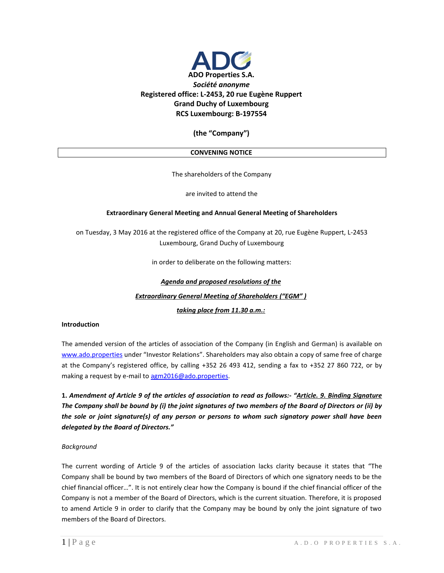

## **(the "Company")**

## **CONVENING NOTICE**

The shareholders of the Company

are invited to attend the

## **Extraordinary General Meeting and Annual General Meeting of Shareholders**

on Tuesday, 3 May 2016 at the registered office of the Company at 20, rue Eugène Ruppert, L-2453 Luxembourg, Grand Duchy of Luxembourg

in order to deliberate on the following matters:

## *Agenda and proposed resolutions of the Extraordinary General Meeting of Shareholders ("EGM" ) taking place from 11.30 a.m.:*

## **Introduction**

The amended version of the articles of association of the Company (in English and German) is available on [www.ado.properties](http://www.ado.properties/) under "Investor Relations". Shareholders may also obtain a copy of same free of charge at the Company's registered office, by calling +352 26 493 412, sending a fax to +352 27 860 722, or by making a request by e-mail to [agm2016@ado.properties.](mailto:agm2016@ado.properties)

**1.** *Amendment of Article 9 of the articles of association to read as follows:- "Article. 9. Binding Signature The Company shall be bound by (i) the joint signatures of two members of the Board of Directors or (ii) by the sole or joint signature(s) of any person or persons to whom such signatory power shall have been delegated by the Board of Directors."*

## *Background*

The current wording of Article 9 of the articles of association lacks clarity because it states that "The Company shall be bound by two members of the Board of Directors of which one signatory needs to be the chief financial officer…". It is not entirely clear how the Company is bound if the chief financial officer of the Company is not a member of the Board of Directors, which is the current situation. Therefore, it is proposed to amend Article 9 in order to clarify that the Company may be bound by only the joint signature of two members of the Board of Directors.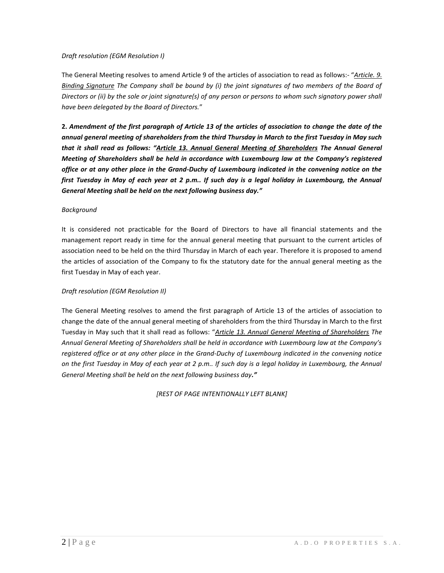## *Draft resolution (EGM Resolution I)*

The General Meeting resolves to amend Article 9 of the articles of association to read as follows:- "*Article. 9. Binding Signature The Company shall be bound by (i) the joint signatures of two members of the Board of Directors or (ii) by the sole or joint signature(s) of any person or persons to whom such signatory power shall have been delegated by the Board of Directors.*"

**2.** *Amendment of the first paragraph of Article 13 of the articles of association to change the date of the annual general meeting of shareholders from the third Thursday in March to the first Tuesday in May such that it shall read as follows: "Article 13. Annual General Meeting of Shareholders The Annual General Meeting of Shareholders shall be held in accordance with Luxembourg law at the Company's registered office or at any other place in the Grand-Duchy of Luxembourg indicated in the convening notice on the first Tuesday in May of each year at 2 p.m.. If such day is a legal holiday in Luxembourg, the Annual General Meeting shall be held on the next following business day."*

## *Background*

It is considered not practicable for the Board of Directors to have all financial statements and the management report ready in time for the annual general meeting that pursuant to the current articles of association need to be held on the third Thursday in March of each year. Therefore it is proposed to amend the articles of association of the Company to fix the statutory date for the annual general meeting as the first Tuesday in May of each year.

## *Draft resolution (EGM Resolution II)*

The General Meeting resolves to amend the first paragraph of Article 13 of the articles of association to change the date of the annual general meeting of shareholders from the third Thursday in March to the first Tuesday in May such that it shall read as follows: "*Article 13. Annual General Meeting of Shareholders The Annual General Meeting of Shareholders shall be held in accordance with Luxembourg law at the Company's registered office or at any other place in the Grand-Duchy of Luxembourg indicated in the convening notice on the first Tuesday in May of each year at 2 p.m.. If such day is a legal holiday in Luxembourg, the Annual General Meeting shall be held on the next following business day."*

*[REST OF PAGE INTENTIONALLY LEFT BLANK]*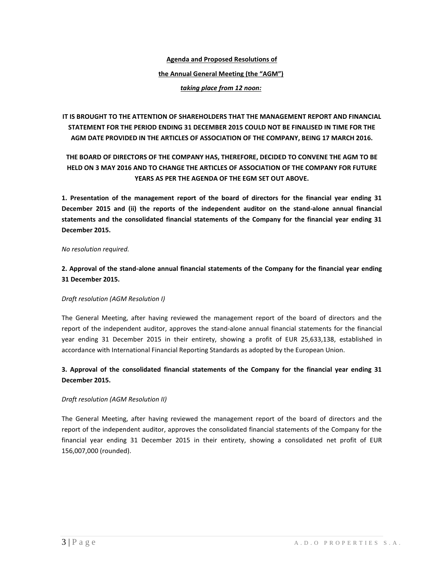# **Agenda and Proposed Resolutions of the Annual General Meeting (the "AGM")**

*taking place from 12 noon:* 

**IT IS BROUGHT TO THE ATTENTION OF SHAREHOLDERS THAT THE MANAGEMENT REPORT AND FINANCIAL STATEMENT FOR THE PERIOD ENDING 31 DECEMBER 2015 COULD NOT BE FINALISED IN TIME FOR THE AGM DATE PROVIDED IN THE ARTICLES OF ASSOCIATION OF THE COMPANY, BEING 17 MARCH 2016.**

## **THE BOARD OF DIRECTORS OF THE COMPANY HAS, THEREFORE, DECIDED TO CONVENE THE AGM TO BE HELD ON 3 MAY 2016 AND TO CHANGE THE ARTICLES OF ASSOCIATION OF THE COMPANY FOR FUTURE YEARS AS PER THE AGENDA OF THE EGM SET OUT ABOVE.**

**1. Presentation of the management report of the board of directors for the financial year ending 31 December 2015 and (ii) the reports of the independent auditor on the stand-alone annual financial statements and the consolidated financial statements of the Company for the financial year ending 31 December 2015.**

## *No resolution required.*

## **2. Approval of the stand-alone annual financial statements of the Company for the financial year ending 31 December 2015.**

## *Draft resolution (AGM Resolution I)*

The General Meeting, after having reviewed the management report of the board of directors and the report of the independent auditor, approves the stand-alone annual financial statements for the financial year ending 31 December 2015 in their entirety, showing a profit of EUR 25,633,138, established in accordance with International Financial Reporting Standards as adopted by the European Union.

## **3. Approval of the consolidated financial statements of the Company for the financial year ending 31 December 2015.**

## *Draft resolution (AGM Resolution II)*

The General Meeting, after having reviewed the management report of the board of directors and the report of the independent auditor, approves the consolidated financial statements of the Company for the financial year ending 31 December 2015 in their entirety, showing a consolidated net profit of EUR 156,007,000 (rounded).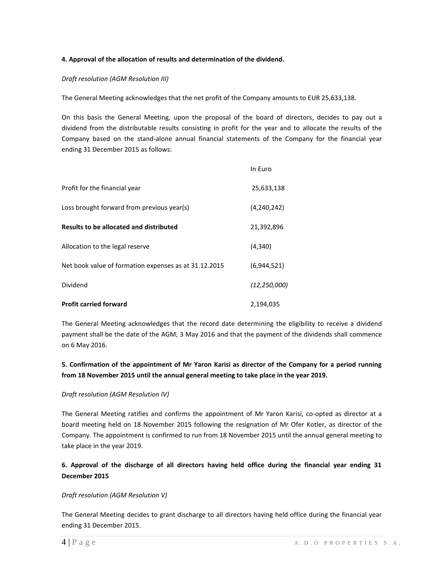## **4. Approval of the allocation of results and determination of the dividend.**

## *Draft resolution (AGM Resolution III)*

The General Meeting acknowledges that the net profit of the Company amounts to EUR 25,633,138.

On this basis the General Meeting, upon the proposal of the board of directors, decides to pay out a dividend from the distributable results consisting in profit for the year and to allocate the results of the Company based on the stand-alone annual financial statements of the Company for the financial year ending 31 December 2015 as follows:

|                                                       | In Euro        |
|-------------------------------------------------------|----------------|
| Profit for the financial year                         | 25,633,138     |
| Loss brought forward from previous year(s)            | (4, 240, 242)  |
| Results to be allocated and distributed               | 21,392,896     |
| Allocation to the legal reserve                       | (4, 340)       |
| Net book value of formation expenses as at 31.12.2015 | (6,944,521)    |
| Dividend                                              | (12, 250, 000) |
| <b>Profit carried forward</b>                         | 2,194,035      |

The General Meeting acknowledges that the record date determining the eligibility to receive a dividend payment shall be the date of the AGM, 3 May 2016 and that the payment of the dividends shall commence on 6 May 2016.

## **5. Confirmation of the appointment of Mr Yaron Karisi as director of the Company for a period running from 18 November 2015 until the annual general meeting to take place in the year 2019.**

## *Draft resolution (AGM Resolution IV)*

The General Meeting ratifies and confirms the appointment of Mr Yaron Karisi, co-opted as director at a board meeting held on 18 November 2015 following the resignation of Mr Ofer Kotler, as director of the Company. The appointment is confirmed to run from 18 November 2015 until the annual general meeting to take place in the year 2019.

## **6. Approval of the discharge of all directors having held office during the financial year ending 31 December 2015**

## *Draft resolution (AGM Resolution V)*

The General Meeting decides to grant discharge to all directors having held office during the financial year ending 31 December 2015.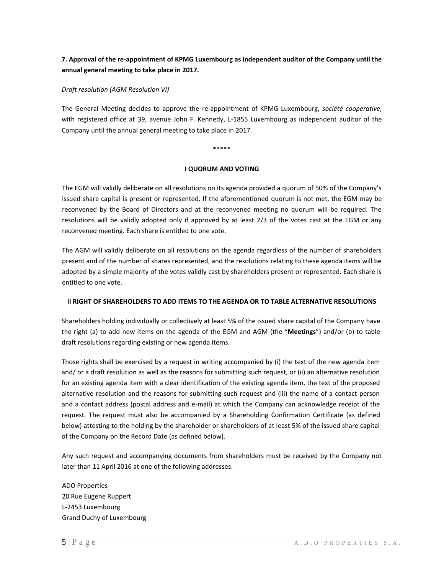## **7. Approval of the re-appointment of KPMG Luxembourg as independent auditor of the Company until the annual general meeting to take place in 2017.**

#### *Draft resolution (AGM Resolution VI)*

The General Meeting decides to approve the re-appointment of KPMG Luxembourg, *société cooperative,* with registered office at 39, avenue John F. Kennedy, L-1855 Luxembourg as independent auditor of the Company until the annual general meeting to take place in 2017.

#### \*\*\*\*\*

#### **I QUORUM AND VOTING**

The EGM will validly deliberate on all resolutions on its agenda provided a quorum of 50% of the Company's issued share capital is present or represented. If the aforementioned quorum is not met, the EGM may be reconvened by the Board of Directors and at the reconvened meeting no quorum will be required. The resolutions will be validly adopted only if approved by at least 2/3 of the votes cast at the EGM or any reconvened meeting. Each share is entitled to one vote.

The AGM will validly deliberate on all resolutions on the agenda regardless of the number of shareholders present and of the number of shares represented, and the resolutions relating to these agenda items will be adopted by a simple majority of the votes validly cast by shareholders present or represented. Each share is entitled to one vote.

## **II RIGHT OF SHAREHOLDERS TO ADD ITEMS TO THE AGENDA OR TO TABLE ALTERNATIVE RESOLUTIONS**

Shareholders holding individually or collectively at least 5% of the issued share capital of the Company have the right (a) to add new items on the agenda of the EGM and AGM (the "**Meetings**") and/or (b) to table draft resolutions regarding existing or new agenda items.

Those rights shall be exercised by a request in writing accompanied by (i) the text of the new agenda item and/ or a draft resolution as well as the reasons for submitting such request, or (ii) an alternative resolution for an existing agenda item with a clear identification of the existing agenda item, the text of the proposed alternative resolution and the reasons for submitting such request and (iii) the name of a contact person and a contact address (postal address and e-mail) at which the Company can acknowledge receipt of the request. The request must also be accompanied by a Shareholding Confirmation Certificate (as defined below) attesting to the holding by the shareholder or shareholders of at least 5% of the issued share capital of the Company on the Record Date (as defined below).

Any such request and accompanying documents from shareholders must be received by the Company not later than 11 April 2016 at one of the following addresses:

ADO Properties 20 Rue Eugene Ruppert L-2453 Luxembourg Grand Duchy of Luxembourg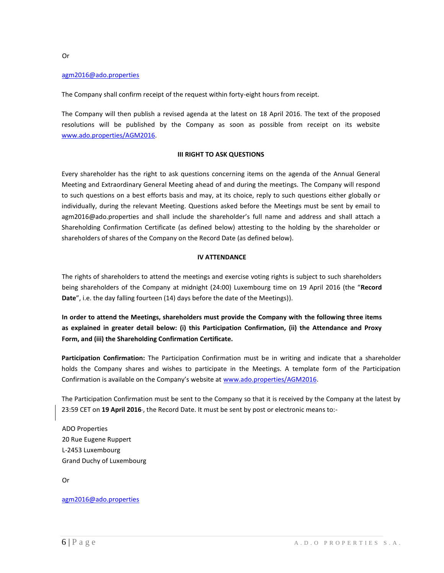## [agm2016@ado.properties](mailto:agm2016@ado.properties)

The Company shall confirm receipt of the request within forty-eight hours from receipt.

The Company will then publish a revised agenda at the latest on 18 April 2016. The text of the proposed resolutions will be published by the Company as soon as possible from receipt on its website [www.ado.properties/AGM2016.](http://www.ado.properties/AGM2016)

#### **III RIGHT TO ASK QUESTIONS**

Every shareholder has the right to ask questions concerning items on the agenda of the Annual General Meeting and Extraordinary General Meeting ahead of and during the meetings. The Company will respond to such questions on a best efforts basis and may, at its choice, reply to such questions either globally or individually, during the relevant Meeting. Questions asked before the Meetings must be sent by email to agm2016@ado.properties and shall include the shareholder's full name and address and shall attach a Shareholding Confirmation Certificate (as defined below) attesting to the holding by the shareholder or shareholders of shares of the Company on the Record Date (as defined below).

#### **IV ATTENDANCE**

The rights of shareholders to attend the meetings and exercise voting rights is subject to such shareholders being shareholders of the Company at midnight (24:00) Luxembourg time on 19 April 2016 (the "**Record Date**", i.e. the day falling fourteen (14) days before the date of the Meetings)).

**In order to attend the Meetings, shareholders must provide the Company with the following three items as explained in greater detail below: (i) this Participation Confirmation, (ii) the Attendance and Proxy Form, and (iii) the Shareholding Confirmation Certificate.**

**Participation Confirmation:** The Participation Confirmation must be in writing and indicate that a shareholder holds the Company shares and wishes to participate in the Meetings. A template form of the Participation Confirmation is available on the Company's website at [www.ado.properties/AGM2016.](http://www.ado.properties/AGM2016)

The Participation Confirmation must be sent to the Company so that it is received by the Company at the latest by 23:59 CET on **19 April 2016** , the Record Date. It must be sent by post or electronic means to:-

ADO Properties 20 Rue Eugene Ruppert L-2453 Luxembourg Grand Duchy of Luxembourg

Or

#### [agm2016@ado.properties](mailto:agm2016@ado.properties)

Or